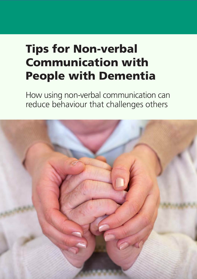# **Tips for Non-verbal Communication with People with Dementia**

How using non-verbal communication can reduce behaviour that challenges others

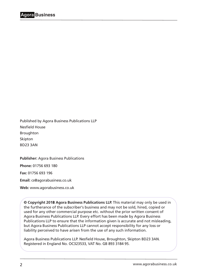Published by Agora Business Publications LLP Nesfield House Broughton Skipton BD23 3AN

**Publisher:** Agora Business Publications

**Phone:** 01756 693 180

**Fax:** 01756 693 196

**Email:** cs@agorabusiness.co.uk

**Web:** [www.agorabusiness.co.uk](http://www.agorabusiness.co.uk)

**© Copyright 201**8 **Agora Business Publications LLP.** This material may only be used in the furtherance of the subscriber's business and may not be sold, hired, copied or used for any other commercial purpose etc. without the prior written consent of Agora Business Publications LLP. Every effort has been made by Agora Business Publications LLP to ensure that the information given is accurate and not misleading, but Agora Business Publications LLP cannot accept responsibility for any loss or liability perceived to have arisen from the use of any such information.

Agora Business Publications LLP. Nesfield House, Broughton, Skipton BD23 3AN. Registered in England No. OC323533, VAT No. GB 893 3184 95.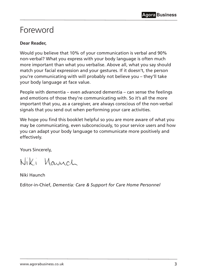## <span id="page-2-0"></span>Foreword

#### **Dear Reader,**

Would you believe that 10% of your communication is verbal and 90% non-verbal? What you express with your body language is often much more important than what you verbalise. Above all, what you say should match your facial expression and your gestures. If it doesn't, the person you're communicating with will probably not believe you – they'll take your body language at face value.

People with dementia – even advanced dementia – can sense the feelings and emotions of those they're communicating with. So it's all the more important that you, as a caregiver, are always conscious of the non-verbal signals that you send out when performing your care activities.

We hope you find this booklet helpful so you are more aware of what you may be communicating, even subconsciously, to your service users and how you can adapt your body language to communicate more positively and effectively.

Yours Sincerely,

Niki Maunch

Niki Haunch

Editor-in-Chief, *Dementia: Care & Support for Care Home Personnel*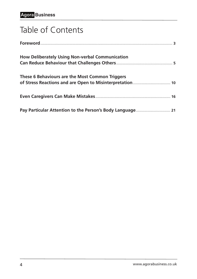## Table of Contents

| How Deliberately Using Non-verbal Communication |
|-------------------------------------------------|
| These 6 Behaviours are the Most Common Triggers |
| 16                                              |
|                                                 |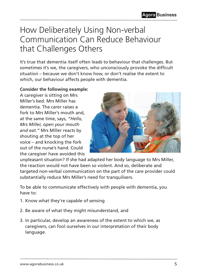## <span id="page-4-0"></span>How Deliberately Using Non-verbal Communication Can Reduce Behaviour that Challenges Others

It's true that dementia itself often leads to behaviour that challenges. But sometimes it's we, the caregivers, who unconsciously provoke the difficult situation – because we don't know how, or don't realise the extent to which, our behaviour affects people with dementia.

#### **Consider the following example:**

A caregiver is sitting on Mrs Miller's bed. Mrs Miller has dementia. The carer raises a fork to Mrs Miller's mouth and, at the same time, says, *"Hello, Mrs Miller, open your mouth and eat."* Mrs Miller reacts by shouting at the top of her voice – and knocking the fork out of the nurse's hand. Could the caregiver have avoided this



unpleasant situation? If she had adapted her body language to Mrs Miller, the reaction would not have been so violent. And so, deliberate and targeted non-verbal communication on the part of the care provider could substantially reduce Mrs Miller's need for tranquilisers.

To be able to communicate effectively with people with dementia, you have to:

- 1. Know what they're capable of sensing
- 2. Be aware of what they might misunderstand, and
- 3. In particular, develop an awareness of the extent to which we, as caregivers, can fool ourselves in our interpretation of their body language.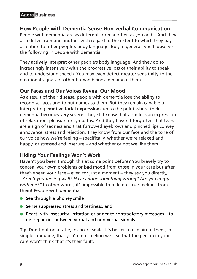## **How People with Dementia Sense Non-verbal Communication**

People with dementia are as different from another, as you and I. And they also differ from one another with regard to the extent to which they pay attention to other people's body language. But, in general, you'll observe the following in people with dementia:

They **actively interpret** other people's body language. And they do so increasingly intensively with the progressive loss of their ability to speak and to understand speech. You may even detect **greater sensitivity** to the emotional signals of other human beings in many of them.

## **Our Faces and Our Voices Reveal Our Mood**

As a result of their disease, people with dementia lose the ability to recognise faces and to put names to them. But they remain capable of interpreting **emotive facial expressions** up to the point where their dementia becomes very severe. They still know that a smile is an expression of relaxation, pleasure or sympathy. And they haven't forgotten that tears are a sign of sadness and that furrowed eyebrows and pinched lips convey annoyance, stress and rejection. They know from our face and the tone of our voice how we're feeling – specifically, whether we're relaxed and happy, or stressed and insecure – and whether or not we like them.....

## **Hiding Your Feelings Won't Work**

Haven't you been through this at some point before? You bravely try to conceal your own problems or bad mood from those in your care but after they've seen your face – even for just a moment – they ask you directly, *"Aren't you feeling well? Have I done something wrong? Are you angry with me?"* In other words, it's impossible to hide our true feelings from them! People with dementia:

- $\bullet$  See through a phoney smile
- Sense suppressed stress and testiness, and
- **•** React with insecurity, irritation or anger to contradictory messages  $-$  to discrepancies between verbal and non-verbal signals.

**Tip:** Don't put on a false, insincere smile. It's better to explain to them, in simple language, that you're not feeling well, so that the person in your care won't think that it's their fault.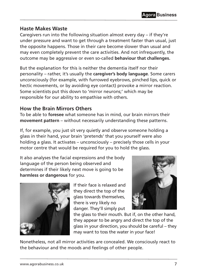## **Haste Makes Waste**

Caregivers run into the following situation almost every day – if they're under pressure and want to get through a treatment faster than usual, just the opposite happens. Those in their care become slower than usual and may even completely prevent the care activities. And not infrequently, the outcome may be aggressive or even so-called **behaviour that challenges.**

But the explanation for this is neither the dementia itself nor their personality – rather, it's usually the **caregiver's body language**. Some carers unconsciously (for example, with furrowed eyebrows, pinched lips, quick or hectic movements, or by avoiding eye contact) provoke a mirror reaction. Some scientists put this down to 'mirror neurons;' which may be responsible for our ability to empathise with others.

## **How the Brain Mirrors Others**

To be able to **foresee** what someone has in mind, our brain mirrors their **movement pattern** – without necessarily understanding these patterns.

If, for example, you just sit very quietly and observe someone holding a glass in their hand, your brain 'pretends' that you yourself were also holding a glass. It activates – unconsciously – precisely those cells in your motor centre that would be required for you to hold the glass.

It also analyses the facial expressions and the body language of the person being observed and determines if their likely next move is going to be **harmless or dangerous** for you.



If their face is relaxed and they direct the top of the glass towards themselves, there is very likely no danger. They'll simply put



the glass to their mouth. But if, on the other hand, they appear to be angry and direct the top of the glass in your direction, you should be careful – they may want to toss the water in your face!

Nonetheless, not all mirror activities are concealed. We consciously react to the behaviour and the moods and feelings of other people.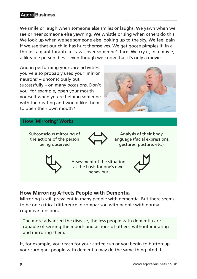## **Agora Business**

We smile or laugh when someone else smiles or laughs. We yawn when we see or hear someone else yawning. We whistle or sing when others do this. We look up when we see someone else looking up to the sky. We feel pain if we see that our child has hurt themselves. We get goose pimples if, in a thriller, a giant tarantula crawls over someone's face. We cry if, in a movie, a likeable person dies – even though we know that it's only a movie…..

And in performing your care activities, you've also probably used your 'mirror neurons' – unconsciously but successfully – on many occasions. Don't you, for example, open your mouth yourself when you're helping someone with their eating and would like them to open their own mouth?



#### **How 'Mirroring' Works**

Subconscious mirroring of the actions of the person



being observed **Analysis of their body**<br>being observed **Analysis of their body**<br>gestures, posture, etc. language (facial expressions, gestures, posture, etc.)



Assessment of the situation<br>as the basis for one's own as the basis for one's own



## **How Mirroring Affects People with Dementia**

Mirroring is still prevalent in many people with dementia. But there seems to be one critical difference in comparison with people with normal cognitive function:

The more advanced the disease, the less people with dementia are capable of sensing the moods and actions of others, without imitating and mirroring them.

If, for example, you reach for your coffee cup or you begin to button up your cardigan, people with dementia may do the same thing. And if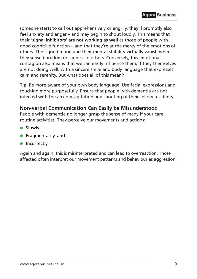someone starts to call out apprehensively or angrily, they'll promptly also feel anxiety and anger – and may begin to shout loudly. This means that their **'signal inhibitors' are not working as well** as those of people with good cognitive function – and that they're at the mercy of the emotions of others. Their good mood and their mental stability virtually vanish when they sense boredom or sadness in others. Conversely, this emotional contagion also means that we can easily influence them, if they themselves are not doing well, with a sincere smile and body language that expresses calm and serenity. But what does all of this mean?

**Tip:** Be more aware of your own body language. Use facial expressions and touching more purposefully. Ensure that people with dementia are not infected with the anxiety, agitation and shouting of their fellow residents.

## **Non-verbal Communication Can Easily be Misunderstood**

People with dementia no longer grasp the sense of many if your care routine activities. They perceive our movements and actions:

- **.** Slowly
- **•** Fragmentarily, and
- $\bullet$  Incorrectly.

Again and again, this is misinterpreted and can lead to overreaction. Those affected often interpret our movement patterns and behaviour as aggression.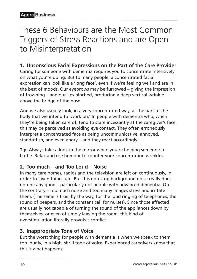## <span id="page-9-0"></span>These 6 Behaviours are the Most Common Triggers of Stress Reactions and are Open to Misinterpretation

## **1. Unconscious Facial Expressions on the Part of the Care Provider**

Caring for someone with dementia requires you to concentrate intensively on what you're doing. But to many people, a concentrated facial expression can look like a **'long face'**, even if we're feeling well and are in the best of moods. Our eyebrows may be furrowed – giving the impression of frowning – and our lips pinched, producing a deep vertical wrinkle above the bridge of the nose.

And we also usually look, in a very concentrated way, at the part of the body that we intend to 'work on.' In people with dementia who, when they're being taken care of, tend to stare incessantly at the caregiver's face, this may be perceived as avoiding eye contact. They often erroneously interpret a concentrated face as being uncommunicative, annoyed, standoffish, and even angry – and they react accordingly.

**Tip:** Always take a look in the mirror when you're helping someone to bathe. Relax and use humour to counter your concentration wrinkles.

## **2. Too much – and Too Loud – Noise**

In many care homes, radios and the television are left on continuously, in order to 'liven things up.' But this non-stop background noise really does no-one any good – particularly not people with advanced dementia. On the contrary – too much noise and too many images stress and irritate them. (The same is true, by the way, for the loud ringing of telephones, the sound of beepers, and the constant call for nurses). Since those affected are usually not capable of turning the sound of the appliances down by themselves, or even of simply leaving the room, this kind of overstimulation literally provokes conflict.

## **3. Inappropriate Tone of Voice**

But the worst thing for people with dementia is when we speak to them too loudly, in a high, shrill tone of voice. Experienced caregivers know that this is what happens: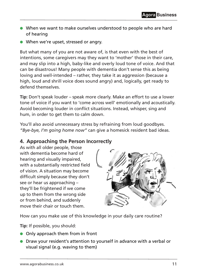- l When we want to make ourselves understood to people who are hard of hearing
- When we're upset, stressed or angry.

But what many of you are not aware of, is that even with the best of intentions, some caregivers may they want to 'mother' those in their care, and may slip into a high, baby-like and overly loud tone of voice. And that can be disastrous! Many people with dementia don't sense this as being loving and well-intended – rather, they take it as aggression (because a high, loud and shrill voice does sound angry) and, logically, get ready to defend themselves.

**Tip:** Don't speak louder – speak more clearly. Make an effort to use a lower tone of voice if you want to 'come across well' emotionally and acoustically. Avoid becoming louder in conflict situations. Instead, whisper, sing and hum, in order to get them to calm down.

You'll also avoid unnecessary stress by refraining from loud goodbyes. *"Bye-bye, I'm going home now"* can give a homesick resident bad ideas.

## **4. Approaching the Person Incorrectly**

As with all older people, those with dementia become hard of hearing and visually impaired, with a substantially restricted field of vision. A situation may become difficult simply because they don't see or hear us approaching – they'll be frightened if we come up to them from the wrong side or from behind, and suddenly move their chair or touch them.



How can you make use of this knowledge in your daily care routine?

**Tip:** If possible, you should:

- **Only approach them from in front**
- **•** Draw your resident's attention to yourself in advance with a verbal or visual signal (e.g. waving to them)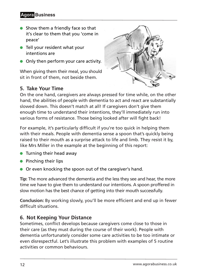## **Agora Business**

- $\bullet$  Show them a friendly face so that it's clear to them that you 'come in peace'
- $\bullet$  Tell your resident what your intentions are
- **Only then perform your care activity.**

When giving them their meal, you should sit in front of them, not beside them.

## **5. Take Your Time**



On the one hand, caregivers are always pressed for time while, on the other hand, the abilities of people with dementia to act and react are substantially slowed down. This doesn't match at all! If caregivers don't give them enough time to understand their intentions, they'll immediately run into various forms of resistance. Those being looked after will fight back!

For example, it's particularly difficult if you're too quick in helping them with their meals. People with dementia sense a spoon that's quickly being raised to their mouth as a surprise attack to life and limb. They resist it by, like Mrs Miller in the example at the beginning of this report:

- $\bullet$  Turning their head away
- $\bullet$  Pinching their lips
- **•** Or even knocking the spoon out of the caregiver's hand.

**Tip:** The more advanced the dementia and the less they see and hear, the more time we have to give them to understand our intentions. A spoon proffered in slow motion has the best chance of getting into their mouth successfully.

**Conclusion:** By working slowly, you'll be more efficient and end up in fewer difficult situations.

## **6. Not Keeping Your Distance**

Sometimes, conflict develops because caregivers come close to those in their care (as they must during the course of their work). People with dementia unfortunately consider some care activities to be too intimate or even disrespectful. Let's illustrate this problem with examples of 5 routine activities or common behaviours.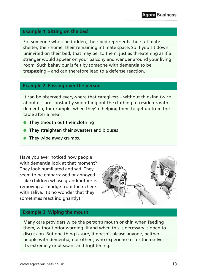#### **Example 1. Sitting on the bed**

For someone who's bedridden, their bed represents their ultimate shelter, their home, their remaining intimate space. So if you sit down uninvited on their bed, that may be, to them, just as threatening as if a stranger would appear on your balcony and wander around your living room. Such behaviour is felt by someone with dementia to be trespassing – and can therefore lead to a defense reaction.

#### **Example 2. Fussing over the person**

It can be observed everywhere that caregivers – without thinking twice about it – are constantly smoothing out the clothing of residents with dementia, for example, when they're helping them to get up from the table after a meal:

- $\bullet$ They smooth out their clothing
- $\bullet$ They straighten their sweaters and blouses
- $\bullet$ They wipe away crumbs.

Have you ever noticed how people with dementia look at that moment? They look humiliated and sad. They seem to be embarrassed or annoyed – like children whose grandmother is removing a smudge from their cheek with saliva. It's no wonder that they sometimes react indignantly!



#### **Example 3. Wiping the mouth**

Many care providers wipe the person's mouth or chin when feeding them, without prior warning. If and when this is necessary is open to discussion. But one thing is sure, it doesn't please anyone, neither people with dementia, nor others, who experience it for themselves – it's extremely unpleasant and frightening.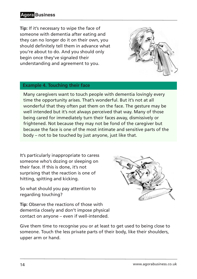## **Agora Business**

**Tip:** If it's necessary to wipe the face of someone with dementia after eating and they can no longer do it on their own, you should definitely tell them in advance what you're about to do. And you should only begin once they've signaled their understanding and agreement to you.



#### **Example 4. Touching their face**

Many caregivers want to touch people with dementia lovingly every time the opportunity arises. That's wonderful. But it's not at all wonderful that they often pat them on the face. The gesture may be well intended but it's not always perceived that way. Many of those being cared for immediately turn their faces away, dismissively or frightened. Not because they may not be fond of the caregiver but because the face is one of the most intimate and sensitive parts of the body – not to be touched by just anyone, just like that.

It's particularly inappropriate to caress someone who's dozing or sleeping on their face. If this is done, it's not surprising that the reaction is one of hitting, spitting and kicking.

So what should you pay attention to regarding touching?



**Tip:** Observe the reactions of those with dementia closely and don't impose physical contact on anyone – even if well-intended.

Give them time to recognise you or at least to get used to being close to someone. Touch the less private parts of their body, like their shoulders, upper arm or hand.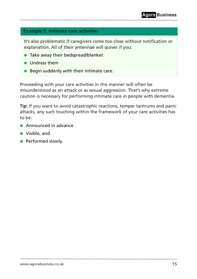### **Example 5. Intimate care activities**

It's also problematic if caregivers come too close without notification or explanation. All of their antennae will quiver if you:

- $\bullet\,$  Take away their bedspread/blanket
- Undress them
- $\bullet$  Begin suddenly with their intimate care.

Proceeding with your care activities in this manner will often be misunderstood as an attack or as sexual aggression. That's why extreme caution is necessary for performing intimate care in people with dementia.

**Tip:** If you want to avoid catastrophic reactions, temper tantrums and panic attacks, any such touching within the framework of your care activities has to be:

- $\bullet$  Announced in advance
- Visible, and
- **•** Performed slowly.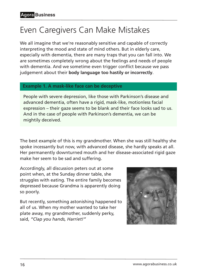## <span id="page-15-0"></span>Even Caregivers Can Make Mistakes

We all imagine that we're reasonably sensitive and capable of correctly interpreting the mood and state of mind others. But in elderly care, especially with dementia, there are many traps that you can fall into. We are sometimes completely wrong about the feelings and needs of people with dementia. And we sometime even trigger conflict because we pass judgement about their **body language too hastily or incorrectly**.

#### **Example 1. A mask-like face can be deceptive**

People with severe depression, like those with Parkinson's disease and advanced dementia, often have a rigid, mask-like, motionless facial expression – their gaze seems to be blank and their face looks sad to us. And in the case of people with Parkinson's dementia, we can be mightily deceived.

The best example of this is my grandmother. When she was still healthy she spoke incessantly but now, with advanced disease, she hardly speaks at all. Her permanently downturned mouth and her disease-associated rigid gaze make her seem to be sad and suffering.

Accordingly, all discussion peters out at some point when, at the Sunday dinner table, she struggles with eating. The entire family becomes depressed because Grandma is apparently doing so poorly.

But recently, something astonishing happened to all of us. When my mother wanted to take her plate away, my grandmother, suddenly perky, said, *"Clap you hands, Harriet!"*

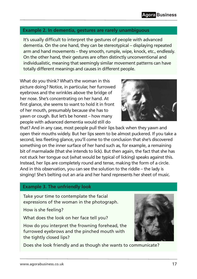## **Example 2. In dementia, gestures are rarely unambiguous**

It's usually difficult to interpret the gestures of people with advanced dementia. On the one hand, they can be stereotypical – displaying repeated arm and hand movements – they smooth, rumple, wipe, knock, etc., endlessly. On the other hand, their gestures are often distinctly unconventional and individualistic, meaning that seemingly similar movement patterns can have totally different meanings and causes in different people.

What do you think? What's the woman in this picture doing? Notice, in particular, her furrowed eyebrows and the wrinkles above the bridge of her nose. She's concentrating on her hand. At first glance, she seems to want to hold it in front of her mouth, presumably because she has to yawn or cough. But let's be honest – how many people with advanced dementia would still do

that? And in any case, most people pull their lips back when they yawn and open their mouths widely. But her lips seem to be almost puckered. If you take a second, less fleeting glance, you'll come to the conclusion that she's discovered something on the inner surface of her hand such as, for example, a remaining bit of marmalade (that she intends to lick). But then again, the fact that she has not stuck her tongue out (what would be typical of licking) speaks against this. Instead, her lips are completely round and tense, making the form of a circle. And in this observation, you can see the solution to the riddle – the lady is singing! She's belting out an aria and her hand represents her sheet of music.

#### **Example 3. The unfriendly look**

Take your time to contemplate the facial expressions of the woman in the photograph.

How is she feeling?

What does the look on her face tell you?

How do you interpret the frowning forehead, the furrowed eyebrows and the pinched mouth with the tightly closed lips?

Does she look friendly and as though she wants to communicate?



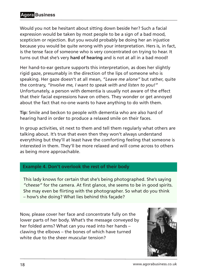Would you not be hesitant about sitting down beside her? Such a facial expression would be taken by most people to be a sign of a bad mood, scepticism or rejection. But you would probably be doing her an injustice because you would be quite wrong with your interpretation. Hers is, in fact, is the tense face of someone who is very concentrated on trying to hear. It turns out that she's very **hard of hearing** and is not at all in a bad mood!

Her hand-to-ear gesture supports this interpretation, as does her slightly rigid gaze, presumably in the direction of the lips of someone who is speaking. Her gaze doesn't at all mean, *"Leave me alone"* but rather, quite the contrary, *"Involve me, I want to speak with and listen to you!"* Unfortunately, a person with dementia is usually not aware of the effect that their facial expressions have on others. They wonder or get annoyed about the fact that no-one wants to have anything to do with them.

**Tip:** Smile and beckon to people with dementia who are also hard of hearing hard in order to produce a relaxed smile on their faces.

In group activities, sit next to them and tell them regularly what others are talking about. It's true that even then they won't always understand everything but they'll at least have the comforting feeling that someone is interested in them. They'll be more relaxed and will come across to others as being more approachable.

#### **Example 4. Don't overlook the rest of their body**

This lady knows for certain that she's being photographed. She's saying *"cheese"* for the camera. At first glance, she seems to be in good spirits. She may even be flirting with the photographer. So what do you think – how's she doing? What lies behind this façade?

Now, please cover her face and concentrate fully on the lower parts of her body. What's the message conveyed by her folded arms? What can you read into her hands – clawing the elbows – the bones of which have turned white due to the sheer muscular tension?

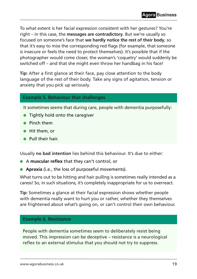To what extent is her facial expression consistent with her gestures? You're right – in this case, the **messages are contradictory**. But we're usually so focused on someone's face that **we hardly notice the rest of their body**, so that it's easy to miss the corresponding red flags (for example, that someone is insecure or feels the need to protect themselves). It's possible that if the photographer would come closer, the woman's 'coquetry' would suddenly be switched off – and that she might even throw her handbag in his face!

**Tip:** After a first glance at their face, pay close attention to the body language of the rest of their body. Take any signs of agitation, tension or anxiety that you pick up seriously.

#### **Example 5. Behaviour that challenges**

It sometimes seems that during care, people with dementia purposefully:

- **•** Tightly hold onto the caregiver
- Pinch them
- $\bullet$  Hit them, or
- $\bullet$ Pull their hair.

Usually **no bad intention** lies behind this behaviour. It's due to either:

- l A **muscular reflex** that they can't control, or
- **Apraxia** (i.e., the loss of purposeful movements).

What turns out to be hitting and hair pulling is sometimes really intended as a caress! So, in such situations, it's completely inappropriate for us to overreact.

**Tip:** Sometimes a glance at their facial expression shows whether people with dementia really want to hurt you or rather, whether they themselves are frightened about what's going on, or can't control their own behaviour.

#### **Example 6. Resistance**

People with dementia sometimes seem to deliberately resist being moved. This impression can be deceptive – resistance is a neurological reflex to an external stimulus that you should not try to suppress.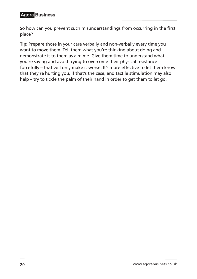## **Agora Business**

So how can you prevent such misunderstandings from occurring in the first place?

**Tip:** Prepare those in your care verbally and non-verbally every time you want to move them. Tell them what you're thinking about doing and demonstrate it to them as a mime. Give them time to understand what you're saying and avoid trying to overcome their physical resistance forcefully – that will only make it worse. It's more effective to let them know that they're hurting you, if that's the case, and tactile stimulation may also help – try to tickle the palm of their hand in order to get them to let go.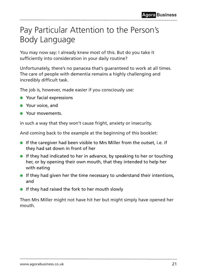## <span id="page-20-0"></span>Pay Particular Attention to the Person's Body Language

You may now say: I already knew most of this. But do you take it sufficiently into consideration in your daily routine?

Unfortunately, there's no panacea that's guaranteed to work at all times. The care of people with dementia remains a highly challenging and incredibly difficult task.

The job is, however, made easier if you consciously use:

- **•** Your facial expressions
- **•** Your voice, and
- **Commanding Your movements.**

in such a way that they won't cause fright, anxiety or insecurity.

And coming back to the example at the beginning of this booklet:

- $\bullet$  If the caregiver had been visible to Mrs Miller from the outset, i.e. if they had sat down in front of her
- $\bullet$  If they had indicated to her in advance, by speaking to her or touching her, or by opening their own mouth, that they intended to help her with eating
- **If they had given her the time necessary to understand their intentions,** and
- $\bullet$  If they had raised the fork to her mouth slowly

Then Mrs Miller might not have hit her but might simply have opened her mouth.